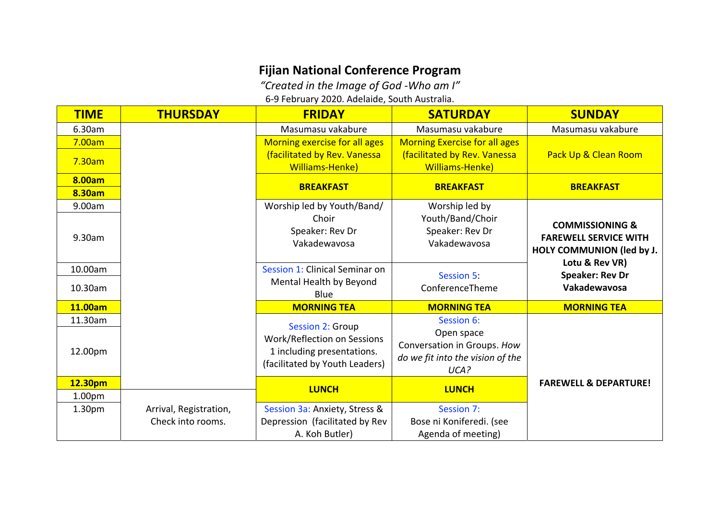## **Fijian National Conference Program**

*"Created in the Image of God ‐Who am I"*

6‐9 February 2020. Adelaide, South Australia.

| <b>TIME</b>        | <b>THURSDAY</b>        | <b>FRIDAY</b>                      | <b>SATURDAY</b>                      | <b>SUNDAY</b>                    |
|--------------------|------------------------|------------------------------------|--------------------------------------|----------------------------------|
| 6.30am             |                        | Masumasu vakabure                  | Masumasu vakabure                    | Masumasu vakabure                |
| 7.00am             |                        | Morning exercise for all ages      | <b>Morning Exercise for all ages</b> |                                  |
| 7.30am             |                        | (facilitated by Rev. Vanessa       | (facilitated by Rev. Vanessa         | Pack Up & Clean Room             |
|                    |                        | Williams-Henke)                    | <b>Williams-Henke)</b>               |                                  |
| 8.00am             |                        | <b>BREAKFAST</b>                   | <b>BREAKFAST</b>                     | <b>BREAKFAST</b>                 |
| 8.30am             |                        |                                    |                                      |                                  |
| 9.00am             |                        | Worship led by Youth/Band/         | Worship led by                       |                                  |
|                    |                        | Choir                              | Youth/Band/Choir                     | <b>COMMISSIONING &amp;</b>       |
| 9.30am             |                        | Speaker: Rev Dr                    | Speaker: Rev Dr                      | <b>FAREWELL SERVICE WITH</b>     |
|                    |                        | Vakadewavosa                       | Vakadewavosa                         | HOLY COMMUNION (led by J.        |
|                    |                        |                                    |                                      | Lotu & Rev VR)                   |
| 10.00am            |                        | Session 1: Clinical Seminar on     | <b>Session 5:</b>                    | <b>Speaker: Rev Dr</b>           |
| 10.30am            |                        | Mental Health by Beyond            | ConferenceTheme                      | Vakadewavosa                     |
|                    |                        | Blue                               |                                      |                                  |
| 11.00am            |                        | <b>MORNING TEA</b>                 | <b>MORNING TEA</b>                   | <b>MORNING TEA</b>               |
| 11.30am            |                        | <b>Session 2: Group</b>            | Session 6:                           |                                  |
|                    |                        | <b>Work/Reflection on Sessions</b> | Open space                           |                                  |
| 12.00pm            |                        | 1 including presentations.         | Conversation in Groups. How          |                                  |
|                    |                        | (facilitated by Youth Leaders)     | do we fit into the vision of the     |                                  |
|                    |                        |                                    | UCA?                                 |                                  |
| 12.30pm            |                        | <b>LUNCH</b>                       | <b>LUNCH</b>                         | <b>FAREWELL &amp; DEPARTURE!</b> |
| 1.00 <sub>pm</sub> |                        |                                    |                                      |                                  |
| 1.30 <sub>pm</sub> | Arrival, Registration, | Session 3a: Anxiety, Stress &      | Session 7:                           |                                  |
|                    | Check into rooms.      | Depression (facilitated by Rev     | Bose ni Koniferedi. (see             |                                  |
|                    |                        | A. Koh Butler)                     | Agenda of meeting)                   |                                  |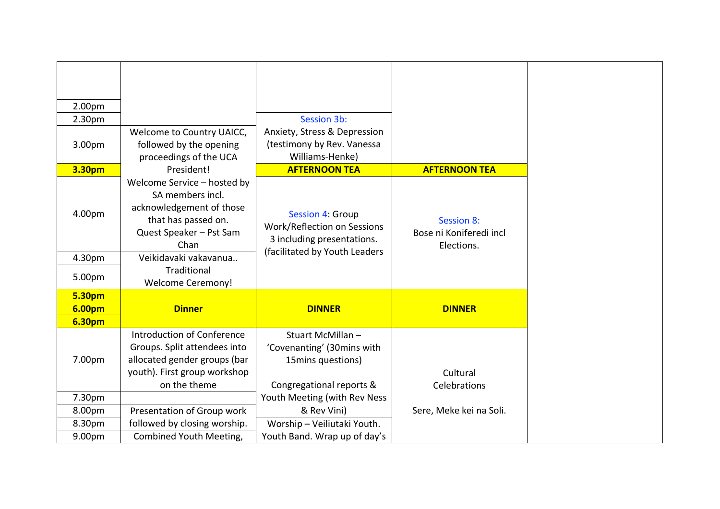| 2.00pm        |                                                                                                                                       |                                                                                      |                                                            |
|---------------|---------------------------------------------------------------------------------------------------------------------------------------|--------------------------------------------------------------------------------------|------------------------------------------------------------|
| 2.30pm        |                                                                                                                                       | Session 3b:                                                                          |                                                            |
| 3.00pm        | Welcome to Country UAICC,<br>followed by the opening<br>proceedings of the UCA                                                        | Anxiety, Stress & Depression<br>(testimony by Rev. Vanessa<br>Williams-Henke)        |                                                            |
| 3.30pm        | President!                                                                                                                            | <b>AFTERNOON TEA</b>                                                                 | <b>AFTERNOON TEA</b>                                       |
| 4.00pm        | Welcome Service - hosted by<br>SA members incl.<br>acknowledgement of those<br>that has passed on.<br>Quest Speaker - Pst Sam<br>Chan | <b>Session 4: Group</b><br>Work/Reflection on Sessions<br>3 including presentations. | <b>Session 8:</b><br>Bose ni Koniferedi incl<br>Elections. |
| 4.30pm        | Veikidavaki vakavanua                                                                                                                 | (facilitated by Youth Leaders                                                        |                                                            |
| 5.00pm        | Traditional<br><b>Welcome Ceremony!</b>                                                                                               |                                                                                      |                                                            |
| <b>5.30pm</b> |                                                                                                                                       |                                                                                      |                                                            |
| <b>6.00pm</b> | <b>Dinner</b>                                                                                                                         | <b>DINNER</b>                                                                        | <b>DINNER</b>                                              |
| <b>6.30pm</b> |                                                                                                                                       |                                                                                      |                                                            |
| 7.00pm        | <b>Introduction of Conference</b><br>Groups. Split attendees into<br>allocated gender groups (bar<br>youth). First group workshop     | Stuart McMillan-<br>'Covenanting' (30mins with<br>15mins questions)                  | Cultural                                                   |
|               | on the theme                                                                                                                          | Congregational reports &                                                             | Celebrations                                               |
| 7.30pm        |                                                                                                                                       | Youth Meeting (with Rev Ness                                                         |                                                            |
| 8.00pm        | Presentation of Group work                                                                                                            | & Rev Vini)                                                                          | Sere, Meke kei na Soli.                                    |
| 8.30pm        | followed by closing worship.                                                                                                          | Worship - Veiliutaki Youth.                                                          |                                                            |
| 9.00pm        | Combined Youth Meeting,                                                                                                               | Youth Band. Wrap up of day's                                                         |                                                            |